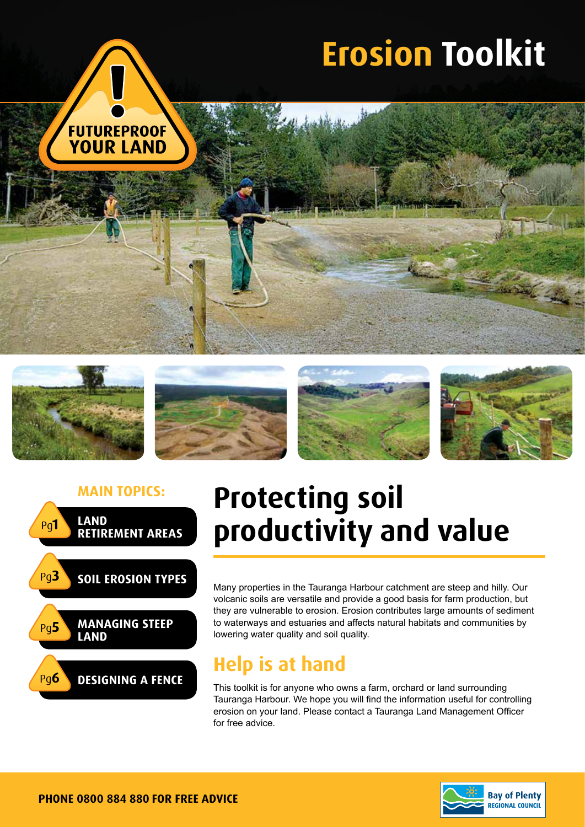













## **Main topics: Protecting soil productivity and value**

Many properties in the Tauranga Harbour catchment are steep and hilly. Our volcanic soils are versatile and provide a good basis for farm production, but they are vulnerable to erosion. Erosion contributes large amounts of sediment to waterways and estuaries and affects natural habitats and communities by lowering water quality and soil quality.

### **Help is at hand**

This toolkit is for anyone who owns a farm, orchard or land surrounding Tauranga Harbour. We hope you will find the information useful for controlling erosion on your land. Please contact a Tauranga Land Management Officer for free advice.

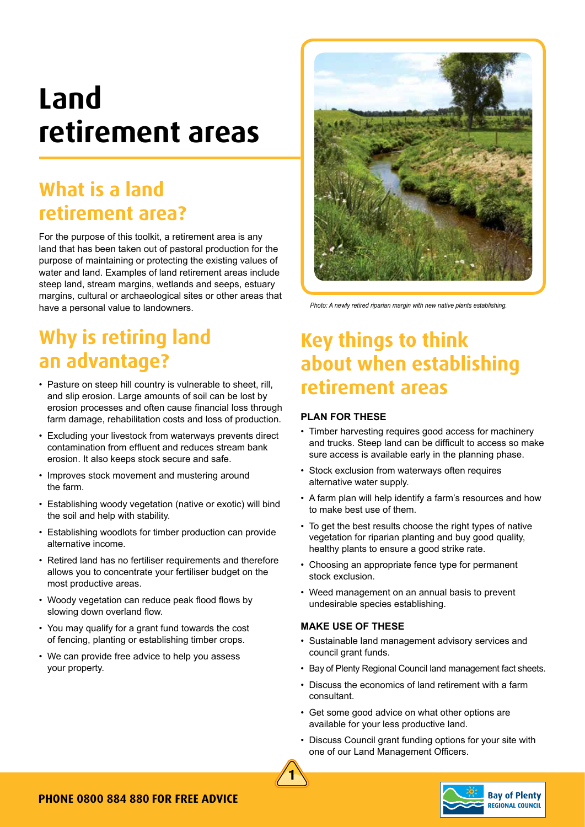# **Land retirement areas**

## **What is a land retirement area?**

For the purpose of this toolkit, a retirement area is any land that has been taken out of pastoral production for the purpose of maintaining or protecting the existing values of water and land. Examples of land retirement areas include steep land, stream margins, wetlands and seeps, estuary margins, cultural or archaeological sites or other areas that have a personal value to landowners.

## **Why is retiring land an advantage?**

- Pasture on steep hill country is vulnerable to sheet, rill, and slip erosion. Large amounts of soil can be lost by erosion processes and often cause financial loss through farm damage, rehabilitation costs and loss of production.
- Excluding your livestock from waterways prevents direct contamination from effluent and reduces stream bank erosion. It also keeps stock secure and safe.
- Improves stock movement and mustering around the farm.
- Establishing woody vegetation (native or exotic) will bind the soil and help with stability.
- Establishing woodlots for timber production can provide alternative income.
- Retired land has no fertiliser requirements and therefore allows you to concentrate your fertiliser budget on the most productive areas.
- Woody vegetation can reduce peak flood flows by slowing down overland flow.
- You may qualify for a grant fund towards the cost of fencing, planting or establishing timber crops.
- We can provide free advice to help you assess your property.



*Photo: A newly retired riparian margin with new native plants establishing.*

## **Key things to think about when establishing retirement areas**

#### **PLAN FOR THESE**

- Timber harvesting requires good access for machinery and trucks. Steep land can be difficult to access so make sure access is available early in the planning phase.
- Stock exclusion from waterways often requires alternative water supply.
- A farm plan will help identify a farm's resources and how to make best use of them.
- To get the best results choose the right types of native vegetation for riparian planting and buy good quality, healthy plants to ensure a good strike rate.
- Choosing an appropriate fence type for permanent stock exclusion.
- Weed management on an annual basis to prevent undesirable species establishing.

#### **MAKE USE OF THESE**

- Sustainable land management advisory services and council grant funds.
- Bay of Plenty Regional Council land management fact sheets.
- Discuss the economics of land retirement with a farm consultant.
- Get some good advice on what other options are available for your less productive land.
- Discuss Council grant funding options for your site with one of our Land Management Officers.



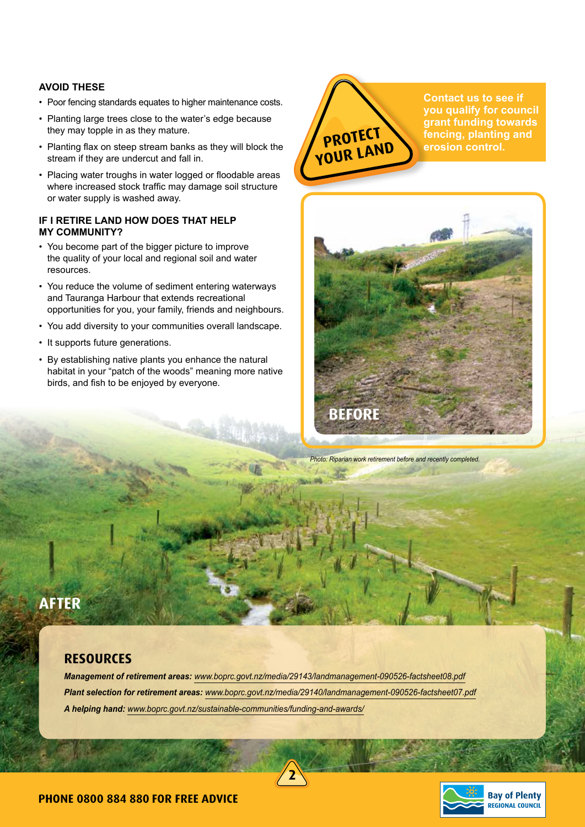#### **AVOID THESE**

- Poor fencing standards equates to higher maintenance costs.
- Planting large trees close to the water's edge because they may topple in as they mature.
- Planting flax on steep stream banks as they will block the stream if they are undercut and fall in.
- Placing water troughs in water logged or floodable areas where increased stock traffic may damage soil structure or water supply is washed away.

#### **IF I RETIRE LAND HOW DOES THAT HELP MY COMMUNITY?**

- You become part of the bigger picture to improve the quality of your local and regional soil and water resources.
- You reduce the volume of sediment entering waterways and Tauranga Harbour that extends recreational opportunities for you, your family, friends and neighbours.
- You add diversity to your communities overall landscape.
- It supports future generations.
- By establishing native plants you enhance the natural habitat in your "patch of the woods" meaning more native birds, and fish to be enjoyed by everyone.



**Contact us to see if you qualify for council grant funding towards fencing, planting and erosion control.**



*Photo: Riparian work retirement before and recently completed.*

### **AFTER**

### **Resources**

*Management of retirement areas: www.boprc.govt.nz/media/29143/landmanagement-090526-factsheet08.pdf Plant selection for retirement areas: www.boprc.govt.nz/media/29140/landmanagement-090526-factsheet07.pdf A helping hand: www.boprc.govt.nz/sustainable-communities/funding-and-awards/*

**2**

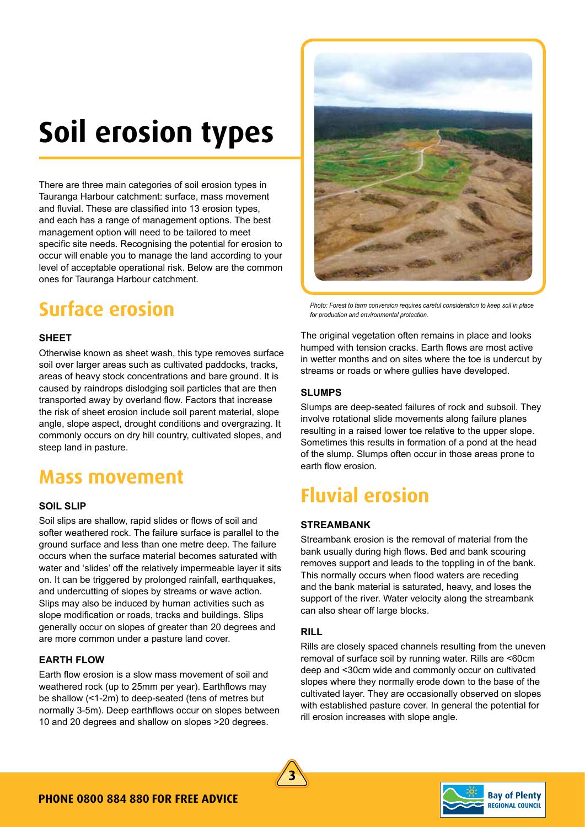# **Soil erosion types**

There are three main categories of soil erosion types in Tauranga Harbour catchment: surface, mass movement and fluvial. These are classified into 13 erosion types, and each has a range of management options. The best management option will need to be tailored to meet specific site needs. Recognising the potential for erosion to occur will enable you to manage the land according to your level of acceptable operational risk. Below are the common ones for Tauranga Harbour catchment.

### **Surface erosion**

#### **SHEET**

Otherwise known as sheet wash, this type removes surface soil over larger areas such as cultivated paddocks, tracks, areas of heavy stock concentrations and bare ground. It is caused by raindrops dislodging soil particles that are then transported away by overland flow. Factors that increase the risk of sheet erosion include soil parent material, slope angle, slope aspect, drought conditions and overgrazing. It commonly occurs on dry hill country, cultivated slopes, and steep land in pasture.

### **Mass movement**

#### **SOIL SLIP**

Soil slips are shallow, rapid slides or flows of soil and softer weathered rock. The failure surface is parallel to the ground surface and less than one metre deep. The failure occurs when the surface material becomes saturated with water and 'slides' off the relatively impermeable layer it sits on. It can be triggered by prolonged rainfall, earthquakes, and undercutting of slopes by streams or wave action. Slips may also be induced by human activities such as slope modification or roads, tracks and buildings. Slips generally occur on slopes of greater than 20 degrees and are more common under a pasture land cover.

#### **EARTH FLOW**

Earth flow erosion is a slow mass movement of soil and weathered rock (up to 25mm per year). Earthflows may be shallow (<1-2m) to deep-seated (tens of metres but normally 3-5m). Deep earthflows occur on slopes between 10 and 20 degrees and shallow on slopes >20 degrees.



*Photo: Forest to farm conversion requires careful consideration to keep soil in place for production and environmental protection.*

The original vegetation often remains in place and looks humped with tension cracks. Earth flows are most active in wetter months and on sites where the toe is undercut by streams or roads or where gullies have developed.

#### **SLUMPS**

Slumps are deep-seated failures of rock and subsoil. They involve rotational slide movements along failure planes resulting in a raised lower toe relative to the upper slope. Sometimes this results in formation of a pond at the head of the slump. Slumps often occur in those areas prone to earth flow erosion.

### **Fluvial erosion**

#### **STREAMBANK**

Streambank erosion is the removal of material from the bank usually during high flows. Bed and bank scouring removes support and leads to the toppling in of the bank. This normally occurs when flood waters are receding and the bank material is saturated, heavy, and loses the support of the river. Water velocity along the streambank can also shear off large blocks.

#### **RILL**

Rills are closely spaced channels resulting from the uneven removal of surface soil by running water. Rills are <60cm deep and <30cm wide and commonly occur on cultivated slopes where they normally erode down to the base of the cultivated layer. They are occasionally observed on slopes with established pasture cover. In general the potential for rill erosion increases with slope angle.



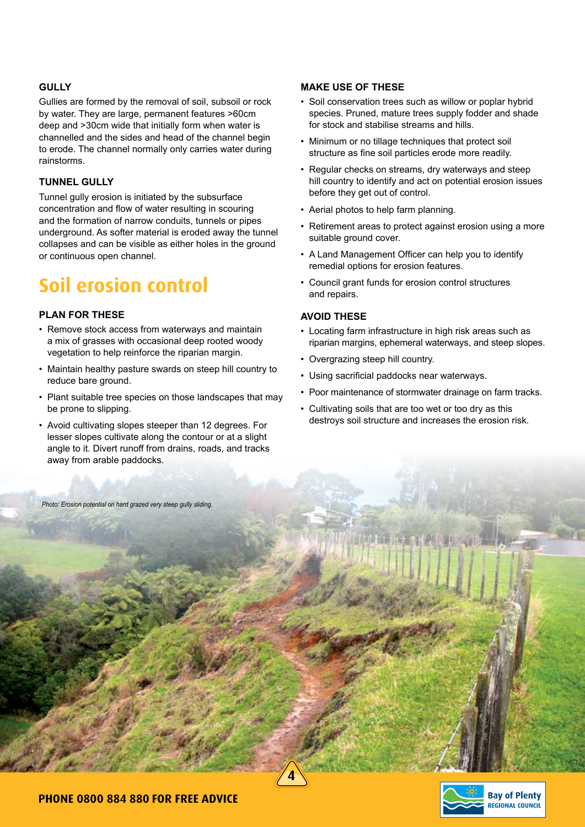#### **GULLY**

Gullies are formed by the removal of soil, subsoil or rock by water. They are large, permanent features >60cm deep and >30cm wide that initially form when water is channelled and the sides and head of the channel begin to erode. The channel normally only carries water during rainstorms.

#### **TUNNEL GULLY**

Tunnel gully erosion is initiated by the subsurface concentration and flow of water resulting in scouring and the formation of narrow conduits, tunnels or pipes underground. As softer material is eroded away the tunnel collapses and can be visible as either holes in the ground or continuous open channel.

## **Soil erosion control**

#### **PLAN FOR THESE**

- Remove stock access from waterways and maintain a mix of grasses with occasional deep rooted woody vegetation to help reinforce the riparian margin.
- Maintain healthy pasture swards on steep hill country to reduce bare ground.
- Plant suitable tree species on those landscapes that may be prone to slipping.
- Avoid cultivating slopes steeper than 12 degrees. For lesser slopes cultivate along the contour or at a slight angle to it. Divert runoff from drains, roads, and tracks away from arable paddocks.

*Photo: Erosion potential on hard grazed very steep gully sliding.*

#### **MAKE USE OF THESE**

- Soil conservation trees such as willow or poplar hybrid species. Pruned, mature trees supply fodder and shade for stock and stabilise streams and hills.
- Minimum or no tillage techniques that protect soil structure as fine soil particles erode more readily.
- Regular checks on streams, dry waterways and steep hill country to identify and act on potential erosion issues before they get out of control.
- Aerial photos to help farm planning.
- Retirement areas to protect against erosion using a more suitable ground cover.
- A Land Management Officer can help you to identify remedial options for erosion features.
- Council grant funds for erosion control structures and repairs.

#### **AVOID THESE**

**4**

- Locating farm infrastructure in high risk areas such as riparian margins, ephemeral waterways, and steep slopes.
- Overgrazing steep hill country.
- Using sacrificial paddocks near waterways.
- Poor maintenance of stormwater drainage on farm tracks.
- Cultivating soils that are too wet or too dry as this destroys soil structure and increases the erosion risk.

**Phone 0800 884 880 for free advice**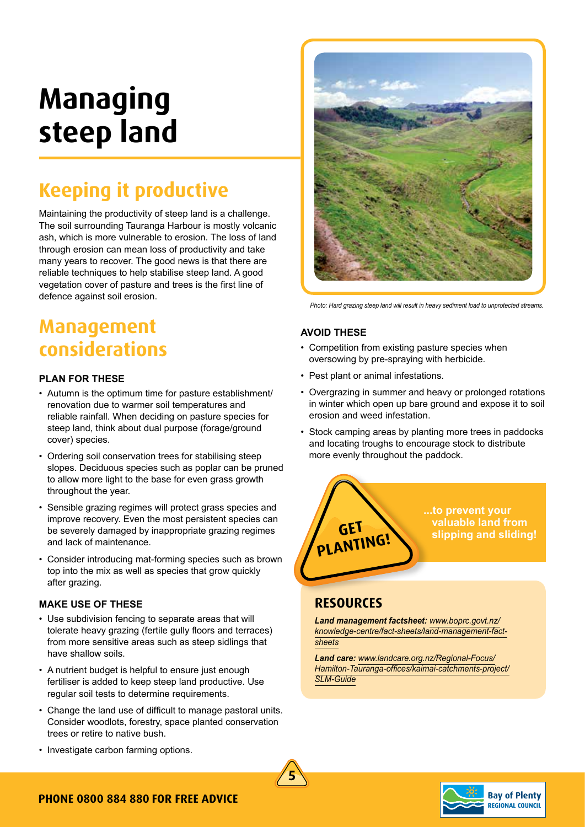# **Managing steep land**

## **Keeping it productive**

Maintaining the productivity of steep land is a challenge. The soil surrounding Tauranga Harbour is mostly volcanic ash, which is more vulnerable to erosion. The loss of land through erosion can mean loss of productivity and take many years to recover. The good news is that there are reliable techniques to help stabilise steep land. A good vegetation cover of pasture and trees is the first line of defence against soil erosion.

### **Management considerations**

#### **PLAN FOR THESE**

- Autumn is the optimum time for pasture establishment/ renovation due to warmer soil temperatures and reliable rainfall. When deciding on pasture species for steep land, think about dual purpose (forage/ground cover) species.
- Ordering soil conservation trees for stabilising steep slopes. Deciduous species such as poplar can be pruned to allow more light to the base for even grass growth throughout the year.
- Sensible grazing regimes will protect grass species and improve recovery. Even the most persistent species can be severely damaged by inappropriate grazing regimes and lack of maintenance.
- Consider introducing mat-forming species such as brown top into the mix as well as species that grow quickly after grazing.

#### **MAKE USE OF THESE**

- Use subdivision fencing to separate areas that will tolerate heavy grazing (fertile gully floors and terraces) from more sensitive areas such as steep sidlings that have shallow soils.
- A nutrient budget is helpful to ensure just enough fertiliser is added to keep steep land productive. Use regular soil tests to determine requirements.
- Change the land use of difficult to manage pastoral units. Consider woodlots, forestry, space planted conservation trees or retire to native bush.



*Photo: Hard grazing steep land will result in heavy sediment load to unprotected streams.*

#### **AVOID THESE**

- Competition from existing pasture species when oversowing by pre-spraying with herbicide.
- Pest plant or animal infestations.
- Overgrazing in summer and heavy or prolonged rotations in winter which open up bare ground and expose it to soil erosion and weed infestation.
- Stock camping areas by planting more trees in paddocks and locating troughs to encourage stock to distribute more evenly throughout the paddock.



### **Resources**

*Land management factsheet: www.boprc.govt.nz/ knowledge-centre/fact-sheets/land-management-factsheets*

*Land care: www.landcare.org.nz/Regional-Focus/ Hamilton-Tauranga-offices/kaimai-catchments-project/ SLM-Guide*





#### • Investigate carbon farming options.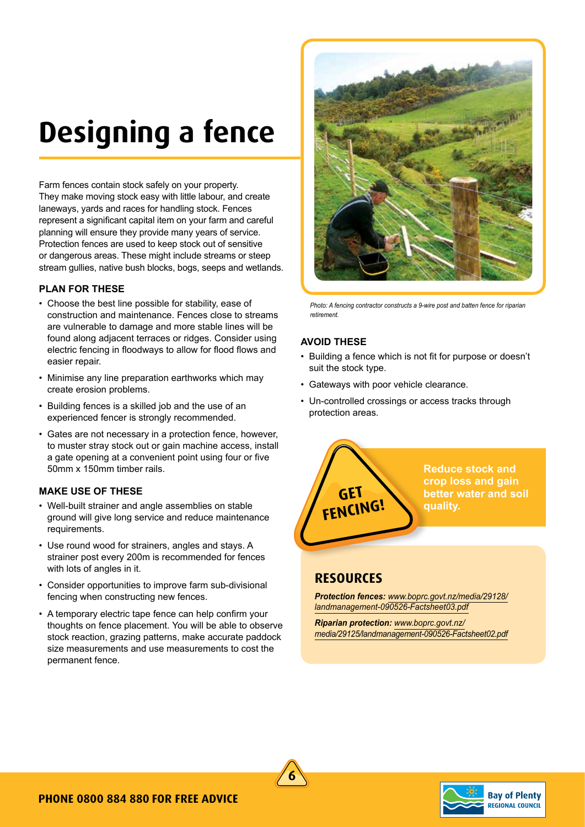# **Designing a fence**

Farm fences contain stock safely on your property. They make moving stock easy with little labour, and create laneways, yards and races for handling stock. Fences represent a significant capital item on your farm and careful planning will ensure they provide many years of service. Protection fences are used to keep stock out of sensitive or dangerous areas. These might include streams or steep stream gullies, native bush blocks, bogs, seeps and wetlands.

#### **PLAN FOR THESE**

- Choose the best line possible for stability, ease of construction and maintenance. Fences close to streams are vulnerable to damage and more stable lines will be found along adjacent terraces or ridges. Consider using electric fencing in floodways to allow for flood flows and easier repair.
- Minimise any line preparation earthworks which may create erosion problems.
- Building fences is a skilled job and the use of an experienced fencer is strongly recommended.
- Gates are not necessary in a protection fence, however, to muster stray stock out or gain machine access, install a gate opening at a convenient point using four or five 50mm x 150mm timber rails.

#### **MAKE USE OF THESE**

- Well-built strainer and angle assemblies on stable ground will give long service and reduce maintenance requirements.
- Use round wood for strainers, angles and stays. A strainer post every 200m is recommended for fences with lots of angles in it.
- Consider opportunities to improve farm sub-divisional fencing when constructing new fences.
- A temporary electric tape fence can help confirm your thoughts on fence placement. You will be able to observe stock reaction, grazing patterns, make accurate paddock size measurements and use measurements to cost the permanent fence.



*Photo: A fencing contractor constructs a 9-wire post and batten fence for riparian retirement.*

#### **AVOID THESE**

- Building a fence which is not fit for purpose or doesn't suit the stock type.
- Gateways with poor vehicle clearance.
- Un-controlled crossings or access tracks through protection areas.



### **Resources**

*Protection fences: www.boprc.govt.nz/media/29128/ landmanagement-090526-Factsheet03.pdf*

*Riparian protection: www.boprc.govt.nz/ media/29125/landmanagement-090526-Factsheet02.pdf*